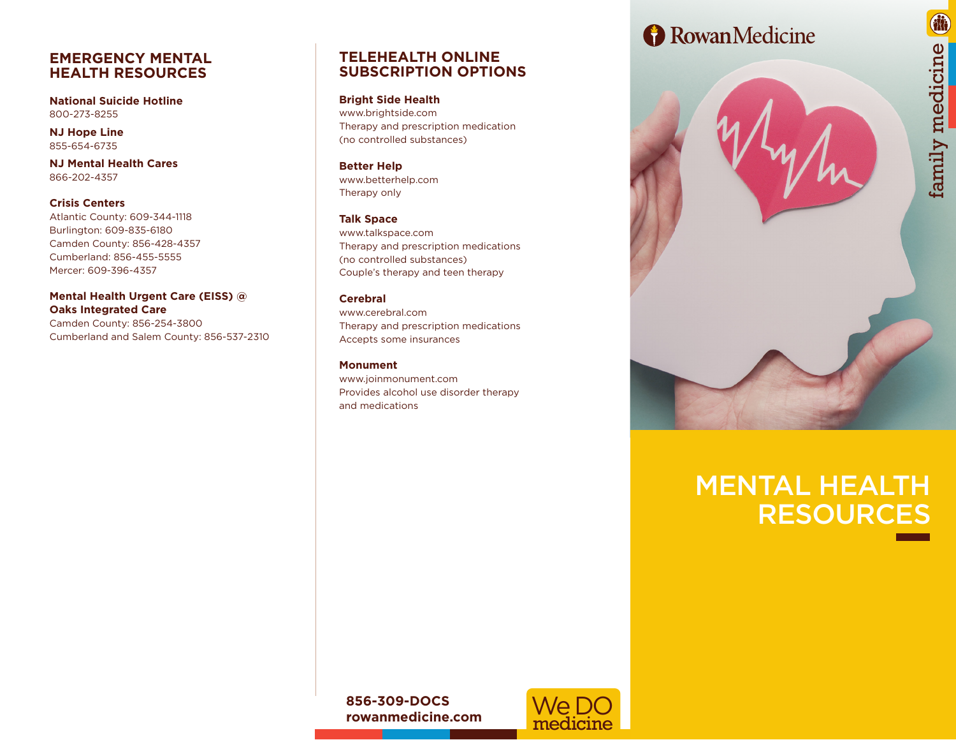### **EMERGENCY MENTAL HEALTH RESOURCES**

**National Suicide Hotline** 800-273-8255

**NJ Hope Line** 855-654-6735

**NJ Mental Health Cares** 866-202-4357

**Crisis Centers** Atlantic County: 609-344-1118 Burlington: 609-835-6180 Camden County: 856-428-4357 Cumberland: 856-455-5555 Mercer: 609-396-4357

#### **Mental Health Urgent Care (EISS) @ Oaks Integrated Care**

Camden County: 856-254-3800 Cumberland and Salem County: 856-537-2310

## **TELEHEALTH ONLINE SUBSCRIPTION OPTIONS**

**Bright Side Health** www.brightside.com Therapy and prescription medication (no controlled substances)

**Better Help** www.betterhelp.com Therapy only

#### **Talk Space**

www.talkspace.com Therapy and prescription medications (no controlled substances) Couple's therapy and teen therapy

#### **Cerebral**

www.cerebral.com Therapy and prescription medications Accepts some insurances

#### **Monument**

www.joinmonument.com Provides alcohol use disorder therapy and medications

## Rowan Medicine

# MENTAL HEALTH RESOURCES